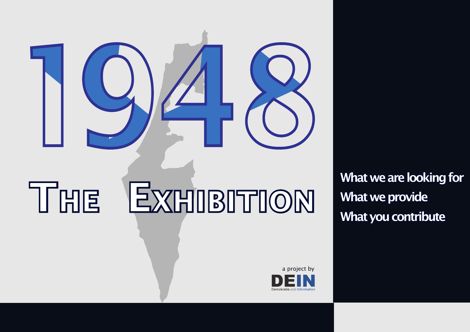

# THE EXHIBITION What we provide

What we are looking for

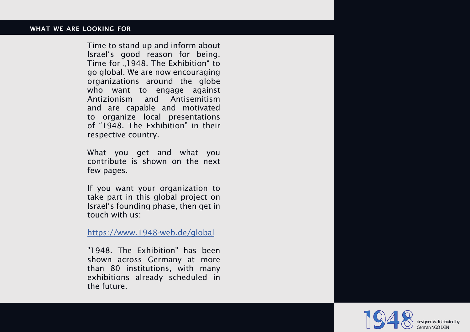#### wha t we are looking for

Time to stand up and inform about Israel's good reason for being. Time for "1948. The Exhibition" to go global. We are now encouraging organizations around the globe who want to engage against Antizionism and Antisemitism and are capable and motivated to organize local presentations of "1948. The Exhibition" in their respective country.

What you get and what you contribute is shown on the next few pages.

If you want your organization to take part in this global project on Israel's founding phase, then get in touch with us:

https://www.1948-web.de/global

"1948. The Exhibition" has been shown across Germany at more than 80 institutions, with many exhibitions already scheduled in the future.

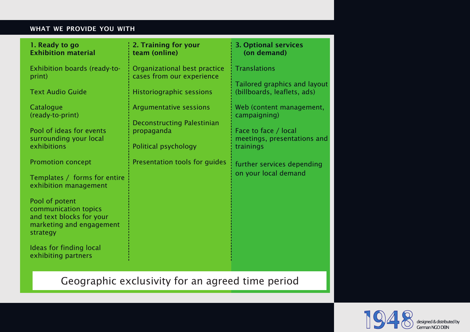#### WHAT WE PROVIDE YOU WITH

| 1. Ready to go<br><b>Exhibition material</b>                                                               | 2. Training for your<br>team (online)                              | <b>3. Optional services</b><br>(on demand)                       |
|------------------------------------------------------------------------------------------------------------|--------------------------------------------------------------------|------------------------------------------------------------------|
| Exhibition boards (ready-to-<br>print)                                                                     | Organizational best practice<br>cases from our experience          | <b>Translations</b><br>Tailored graphics and layout              |
| <b>Text Audio Guide</b>                                                                                    | <b>Historiographic sessions</b>                                    | (billboards, leaflets, ads)                                      |
| Catalogue<br>(ready-to-print)                                                                              | <b>Argumentative sessions</b><br><b>Deconstructing Palestinian</b> | Web (content management,<br>campaigning)                         |
| Pool of ideas for events<br>surrounding your local<br>exhibitions                                          | propaganda<br>Political psychology                                 | Face to face / local<br>meetings, presentations and<br>trainings |
| <b>Promotion concept</b><br>Templates / forms for entire<br>exhibition management                          | Presentation tools for guides                                      | further services depending<br>on your local demand               |
| Pool of potent<br>communication topics<br>and text blocks for your<br>marketing and engagement<br>strategy |                                                                    |                                                                  |
| Ideas for finding local<br>exhibiting partners                                                             |                                                                    |                                                                  |

## Geographic exclusivity for an agreed time period



designed & distributed by German NGO DEIN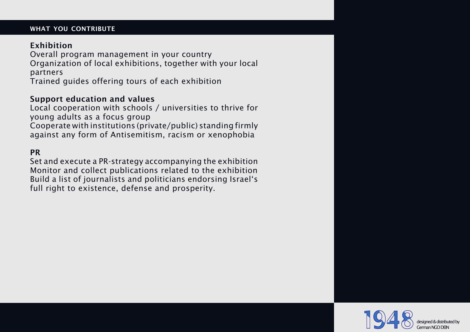#### WHAT YOU CONTRIBUTE

#### Exhibition

Overall program management in your country Organization of local exhibitions, together with your local partners

Trained guides offering tours of each exhibition

#### Support education and values

Local cooperation with schools / universities to thrive for young adults as a focus group Cooperate with institutions (private/public) standing firmly against any form of Antisemitism, racism or xenophobia

#### **PR**

Set and execute a PR-strategy accompanying the exhibition Monitor and collect publications related to the exhibition Build a list of journalists and politicians endorsing Israel's full right to existence, defense and prosperity.

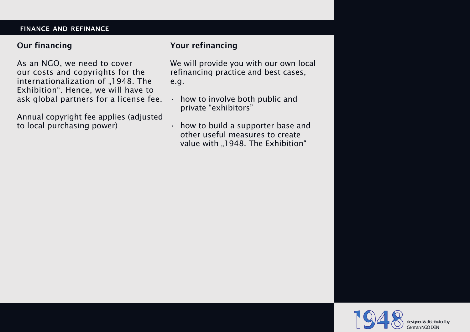#### finance and refinance

#### Our financing

As an NGO, we need to cover our costs and copyrights for the internationalization of "1948. The Exhibition". Hence, we will have to ask global partners for a license fee.

Annual copyright fee applies (adjusted to local purchasing power)

### Your refinancing

We will provide you with our own local refinancing practice and best cases, e.g.

how to involve both public and private "exhibitors"

how to build a supporter base and other useful measures to create value with "1948. The Exhibition"